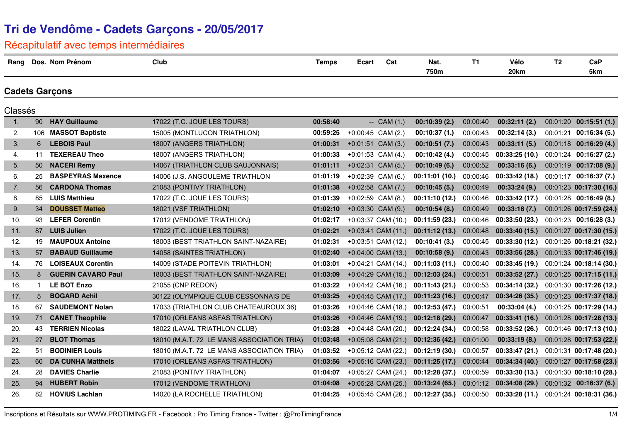### Récapitulatif avec temps intermédiaires

| Rang    |             | Dos. Nom Prénom           | Club                                       | <b>Temps</b> | Ecart                | Cat            | Nat.<br>750m   | <b>T1</b> | Vélo<br>20km   | T <sub>2</sub> | CaP<br>5km               |
|---------|-------------|---------------------------|--------------------------------------------|--------------|----------------------|----------------|----------------|-----------|----------------|----------------|--------------------------|
|         |             | <b>Cadets Garçons</b>     |                                            |              |                      |                |                |           |                |                |                          |
| Classés |             |                           |                                            |              |                      |                |                |           |                |                |                          |
| 1.      | 90          | <b>HAY Guillaume</b>      | 17022 (T.C. JOUE LES TOURS)                | 00:58:40     |                      | $-$ CAM $(1.)$ | 00:10:39(2.)   | 00:00:40  | 00:32:11(2.)   |                | $00:01:20$ 00:15:51 (1.) |
| 2.      |             | 106 MASSOT Baptiste       | 15005 (MONTLUCON TRIATHLON)                | 00:59:25     | $+0:00:45$ CAM (2.)  |                | 00:10:37(1.)   | 00:00:43  | 00:32:14(3.)   |                | 00:01:21 00:16:34 (5.)   |
| 3.      | 6           | <b>LEBOIS Paul</b>        | 18007 (ANGERS TRIATHLON)                   | 01:00:31     | $+0:01:51$ CAM (3.)  |                | 00:10:51(7.)   | 00:00:43  | 00:33:11(5.)   |                | $00:01:18$ 00:16:29 (4.) |
| 4.      | 11          | <b>TEXEREAU Theo</b>      | 18007 (ANGERS TRIATHLON)                   | 01:00:33     | $+0:01:53$ CAM (4.)  |                | 00:10:42(4.)   | 00:00:45  | 00:33:25(10.)  |                | 00:01:24 00:16:27 (2.)   |
| 5.      | 50          | <b>NACERI Remy</b>        | 14067 (TRIATHLON CLUB SAUJONNAIS)          | 01:01:11     | $+0.02:31$ CAM (5.)  |                | 00:10:49(6.)   | 00:00:52  | 00:33:16(6.)   |                | 00:01:19 00:17:08 (9.)   |
| 6.      | 25          | <b>BASPEYRAS Maxence</b>  | 14006 (J.S. ANGOULEME TRIATHLON            | 01:01:19     | $+0.02.39$ CAM (6.)  |                | 00:11:01(10.)  | 00:00:46  | 00:33:42(18.)  |                | $00:01:17$ 00:16:37 (7.) |
| 7.      | 56          | <b>CARDONA Thomas</b>     | 21083 (PONTIVY TRIATHLON)                  | 01:01:38     | $+0.02:58$ CAM (7.)  |                | 00:10:45(5.)   | 00:00:49  | 00:33:24(9.)   |                | 00:01:23 00:17:30 (16.)  |
| 8.      | 85          | <b>LUIS Matthieu</b>      | 17022 (T.C. JOUE LES TOURS)                | 01:01:39     | +0:02:59 CAM (8.)    |                | 00:11:10(12.)  | 00:00:46  | 00:33:42(17.)  |                | 00:01:28 00:16:49 (8.)   |
| 9.      | 34          | <b>DOUSSET Matteo</b>     | 18021 (VSF TRIATHLON)                      | 01:02:10     | $+0.03:30$ CAM (9.)  |                | 00:10:54(8.)   | 00:00:49  | 00:33:18(7.)   |                | 00:01:26 00:17:59 (24.)  |
| 10.     | 93          | <b>LEFER Corentin</b>     | 17012 (VENDOME TRIATHLON)                  | 01:02:17     | +0:03:37 CAM (10.)   |                | 00:11:59 (23.) | 00:00:46  | 00:33:50(23.)  |                | 00:01:23 00:16:28 (3.)   |
| 11.     | 87          | <b>LUIS Julien</b>        | 17022 (T.C. JOUE LES TOURS)                | 01:02:21     | $+0.03:41$ CAM (11.) |                | 00:11:12(13.)  | 00:00:48  | 00:33:40(15.)  |                | 00:01:27 00:17:30 (15.)  |
| 12.     | 19          | <b>MAUPOUX Antoine</b>    | 18003 (BEST TRIATHLON SAINT-NAZAIRE)       | 01:02:31     | +0:03:51 CAM (12.)   |                | 00:10:41(3.)   | 00:00:45  | 00:33:30(12)   |                | 00:01:26 00:18:21 (32.)  |
| 13.     | 57          | <b>BABAUD Guillaume</b>   | 14058 (SAINTES TRIATHLON)                  | 01:02:40     | $+0.04:00$ CAM (13.) |                | 00:10:58(9.)   | 00:00:43  | 00:33:56(28.)  |                | 00:01:33 00:17:46 (19.)  |
| 14.     | 76          | <b>LOISEAUX Corentin</b>  | 14009 (STADE POITEVIN TRIATHLON)           | 01:03:01     | $+0:04:21$ CAM (14.) |                | 00:11:03(11.)  | 00:00:40  | 00:33:45(19)   |                | 00:01:24 00:18:14 (30.)  |
| 15.     | 8           | <b>GUERIN CAVARO Paul</b> | 18003 (BEST TRIATHLON SAINT-NAZAIRE)       | 01:03:09     | $+0.04:29$ CAM (15.) |                | 00:12:03(24.)  | 00:00:51  | 00:33:52(27.)  |                | 00:01:25 00:17:15 (11.)  |
| 16.     | 1           | <b>LE BOT Enzo</b>        | 21055 (CNP REDON)                          | 01:03:22     | $+0.04:42$ CAM (16.) |                | 00:11:43(21.)  | 00:00:53  | 00:34:14(32)   |                | 00:01:30 00:17:26 (12.)  |
| 17.     | $5^{\circ}$ | <b>BOGARD Achil</b>       | 30122 (OLYMPIQUE CLUB CESSONNAIS DE        | 01:03:25     | $+0.04:45$ CAM (17.) |                | 00:11:23(16.)  | 00:00:47  | 00:34:26(35.)  |                | 00:01:23 00:17:37 (18.)  |
| 18.     | 67          | <b>SAUDEMONT Nolan</b>    | 17033 (TRIATHLON CLUB CHATEAUROUX 36)      | 01:03:26     | $+0.04:46$ CAM (18.) |                | 00:12:53 (47.) | 00:00:51  | 00:33:04(4.)   |                | 00:01:25 00:17:29 (14.)  |
| 19.     | 71          | <b>CANET Theophile</b>    | 17010 (ORLEANS ASFAS TRIATHLON)            | 01:03:26     | $+0.04:46$ CAM (19.) |                | 00:12:18(29.)  | 00:00:47  | 00:33:41(16.)  |                | 00:01:28 00:17:28 (13.)  |
| 20.     | 43          | <b>TERRIEN Nicolas</b>    | 18022 (LAVAL TRIATHLON CLUB)               | 01:03:28     | +0:04:48 CAM (20.)   |                | 00:12:24 (34.) | 00:00:58  | 00:33:52(26.)  |                | 00:01:46 00:17:13 (10.)  |
| 21.     | 27          | <b>BLOT Thomas</b>        | 18010 (M.A.T. 72 LE MANS ASSOCIATION TRIA) | 01:03:48     | $+0.05.08$ CAM (21.) |                | 00:12:36(42)   | 00:01:00  | 00:33:19(8.)   |                | 00:01:28 00:17:53 (22.)  |
| 22.     | 51          | <b>BODINIER Louis</b>     | 18010 (M.A.T. 72 LE MANS ASSOCIATION TRIA) | 01:03:52     | +0:05:12 CAM (22.)   |                | 00:12:19 (30.) | 00:00:57  | 00:33:47 (21.) |                | 00:01:31 00:17:48 (20.)  |
| 23.     | 60          | <b>DA CUNHA Mattheis</b>  | 17010 (ORLEANS ASFAS TRIATHLON)            | 01:03:56     | $+0.05:16$ CAM (23.) |                | 00:11:25(17.)  | 00:00:44  | 00:34:34(40)   |                | 00:01:27 00:17:58 (23.)  |
| 24.     | 28          | <b>DAVIES Charlie</b>     | 21083 (PONTIVY TRIATHLON)                  | 01:04:07     | +0:05:27 CAM (24.)   |                | 00:12:28(37.)  | 00:00:59  | 00:33:30(13)   |                | 00:01:30 00:18:10 (28.)  |
| 25.     | 94          | <b>HUBERT Robin</b>       | 17012 (VENDOME TRIATHLON)                  | 01:04:08     | +0:05:28 CAM (25.)   |                | 00:13:24(65.)  | 00:01:12  | 00:34:08(29.)  |                | 00:01:32 00:16:37 (6.)   |
| 26.     | 82.         | <b>HOVIUS Lachlan</b>     | 14020 (LA ROCHELLE TRIATHLON)              | 01:04:25     | +0:05:45 CAM (26.)   |                | 00:12:27(35)   | 00:00:50  | 00:33:28(11)   |                | 00:01:24 00:18:31 (36.)  |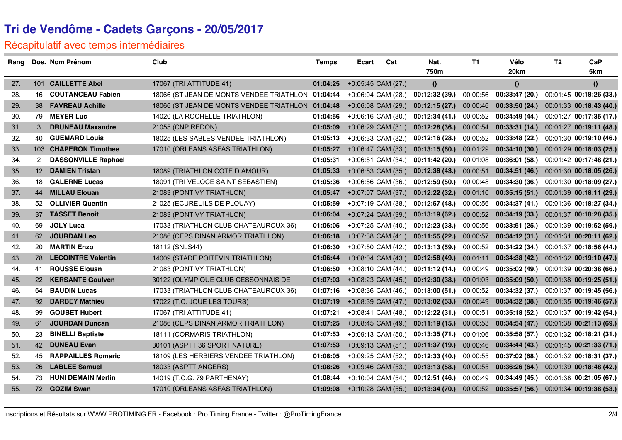#### Récapitulatif avec temps intermédiaires

| Rang |                 | Dos. Nom Prénom            | Club                                              | <b>Temps</b> | Ecart                | Cat | Nat.<br>750m   | <b>T1</b> | Vélo<br>20km            | T <sub>2</sub> | CaP<br>5km              |
|------|-----------------|----------------------------|---------------------------------------------------|--------------|----------------------|-----|----------------|-----------|-------------------------|----------------|-------------------------|
| 27.  |                 | 101 CAILLETTE Abel         | 17067 (TRI ATTITUDE 41)                           | 01:04:25     | +0:05:45 CAM (27.)   |     | $\theta$       |           | $\theta$                |                | $\boldsymbol{0}$        |
| 28.  | 16              | <b>COUTANCEAU Fabien</b>   | 18066 (ST JEAN DE MONTS VENDEE TRIATHLON 01:04:44 |              | +0:06:04 CAM (28.)   |     | 00:12:32 (39.) | 00:00:56  | 00:33:47(20.)           |                | 00:01:45 00:18:26 (33.) |
| 29.  | 38              | <b>FAVREAU Achille</b>     | 18066 (ST JEAN DE MONTS VENDEE TRIATHLON 01:04:48 |              | $+0.06:08$ CAM (29.) |     | 00:12:15(27.)  | 00:00:46  | 00:33:50(24.)           |                | 00:01:33 00:18:43 (40.) |
| 30.  | 79              | <b>MEYER Luc</b>           | 14020 (LA ROCHELLE TRIATHLON)                     | 01:04:56     | +0:06:16 CAM (30.)   |     | 00:12:34(41.)  | 00:00:52  | 00:34:49 (44.)          |                | 00:01:27 00:17:35 (17.) |
| 31.  | $\mathbf{3}$    | <b>DRUNEAU Maxandre</b>    | 21055 (CNP REDON)                                 | 01:05:09     | +0:06:29 CAM (31.)   |     | 00:12:28(36.)  | 00:00:54  | 00:33:31(14.)           |                | 00:01:27 00:19:11 (48.) |
| 32.  | 40              | <b>GUEMARD Louis</b>       | 18025 (LES SABLES VENDEE TRIATHLON)               | 01:05:13     | +0:06:33 CAM (32.)   |     | 00:12:16(28.)  | 00:00:52  | 00:33:48(22)            |                | 00:01:30 00:19:10 (46.) |
| 33.  |                 | 103 CHAPERON Timothee      | 17010 (ORLEANS ASFAS TRIATHLON)                   | 01:05:27     | $+0.06:47$ CAM (33.) |     | 00:13:15(60.)  | 00:01:29  | 00:34:10 (30.)          |                | 00:01:29 00:18:03 (25.) |
| 34.  | $\overline{2}$  | <b>DASSONVILLE Raphael</b> |                                                   | 01:05:31     | +0:06:51 CAM (34.)   |     | 00:11:42 (20.) | 00:01:08  | 00:36:01 (58.)          |                | 00:01:42 00:17:48 (21.) |
| 35.  | 12 <sup>1</sup> | <b>DAMIEN Tristan</b>      | 18089 (TRIATHLON COTE D AMOUR)                    | 01:05:33     | +0:06:53 CAM (35.)   |     | 00:12:38(43)   | 00:00:51  | 00:34:51(46)            |                | 00:01:30 00:18:05 (26.) |
| 36.  | 18              | <b>GALERNE Lucas</b>       | 18091 (TRI VELOCE SAINT SEBASTIEN)                | 01:05:36     | +0:06:56 CAM (36.)   |     | 00:12:59(50.)  | 00:00:48  | 00:34:30 (36.)          |                | 00:01:30 00:18:09 (27.) |
| 37.  | 44              | <b>MILLAU Elouan</b>       | 21083 (PONTIVY TRIATHLON)                         | 01:05:47     | +0:07:07 CAM (37.)   |     | 00:12:22 (32.) | 00:01:10  | 00:35:15(51)            |                | 00:01:39 00:18:11 (29.) |
| 38.  | 52              | <b>OLLIVIER Quentin</b>    | 21025 (ECUREUILS DE PLOUAY)                       | 01:05:59     | +0:07:19 CAM (38.)   |     | 00:12:57 (48.) | 00:00:56  | 00:34:37 (41.)          |                | 00:01:36 00:18:27 (34.) |
| 39.  |                 | 37 TASSET Benoit           | 21083 (PONTIVY TRIATHLON)                         | 01:06:04     | +0:07:24 CAM (39.)   |     | 00:13:19(62)   | 00:00:52  | 00:34:19(33)            |                | 00:01:37 00:18:28 (35.) |
| 40.  | 69              | <b>JOLY Luca</b>           | 17033 (TRIATHLON CLUB CHATEAUROUX 36)             | 01:06:05     | +0:07:25 CAM (40.)   |     | 00:12:23 (33.) | 00:00:56  | 00:33:51 (25.)          |                | 00:01:39 00:19:52 (59.) |
| 41.  | 62              | <b>JOURDAN Leo</b>         | 21086 (CEPS DINAN ARMOR TRIATHLON)                | 01:06:18     | +0:07:38 CAM (41.)   |     | 00:11:55(22.)  | 00:00:57  | 00:34:12(31)            |                | 00:01:31 00:20:11 (62.) |
| 42.  | 20              | <b>MARTIN Enzo</b>         | 18112 (SNLS44)                                    | 01:06:30     | +0:07:50 CAM (42.)   |     | 00:13:13(59)   | 00:00:52  | 00:34:22 (34.)          |                | 00:01:37 00:18:56 (44.) |
| 43.  | 78              | <b>LECOINTRE Valentin</b>  | 14009 (STADE POITEVIN TRIATHLON)                  | 01:06:44     | $+0.08.04$ CAM (43.) |     | 00:12:58(49)   | 00:01:11  | 00:34:38(42)            |                | 00:01:32 00:19:10 (47.) |
| 44.  | 41              | <b>ROUSSE Elouan</b>       | 21083 (PONTIVY TRIATHLON)                         | 01:06:50     | +0:08:10 CAM (44.)   |     | 00:11:12 (14.) | 00:00:49  | 00:35:02 (49.)          |                | 00:01:39 00:20:38 (66.) |
| 45.  | <b>22</b>       | <b>KERSANTE Goulven</b>    | 30122 (OLYMPIQUE CLUB CESSONNAIS DE               | 01:07:03     | $+0.08:23$ CAM (45.) |     | 00:12:30(38.)  | 00:01:03  | 00:35:09(50.)           |                | 00:01:38 00:19:25 (51.) |
| 46.  | 64              | <b>BAUDIN Lucas</b>        | 17033 (TRIATHLON CLUB CHATEAUROUX 36)             | 01:07:16     | +0:08:36 CAM (46.)   |     | 00:13:00(51.)  | 00:00:52  | 00:34:32 (37.)          |                | 00:01:37 00:19:45 (56.) |
| 47.  | 92 <sup>°</sup> | <b>BARBEY Mathieu</b>      | 17022 (T.C. JOUE LES TOURS)                       | 01:07:19     | +0:08:39 CAM (47.)   |     | 00:13:02(53)   | 00:00:49  | 00:34:32 (38.)          |                | 00:01:35 00:19:46 (57.) |
| 48.  | 99              | <b>GOUBET Hubert</b>       | 17067 (TRI ATTITUDE 41)                           | 01:07:21     | $+0.08:41$ CAM (48.) |     | 00:12:22(31.)  | 00:00:51  | 00:35:18 (52.)          |                | 00:01:37 00:19:42 (54.) |
| 49.  | 61              | <b>JOURDAN Duncan</b>      | 21086 (CEPS DINAN ARMOR TRIATHLON)                | 01:07:25     | $+0.08:45$ CAM (49.) |     | 00:11:19(15.)  | 00:00:53  | 00:34:54(47)            |                | 00:01:38 00:21:13 (69.) |
| 50.  | 23              | <b>BINELLI Baptiste</b>    | 18111 (CORMARIS TRIATHLON)                        | 01:07:53     | +0:09:13 CAM (50.)   |     | 00:13:35 (71.) | 00:01:06  | 00:35:58(57)            |                | 00:01:32 00:18:21 (31.) |
| 51.  | 42              | <b>DUNEAU Evan</b>         | 30101 (ASPTT 36 SPORT NATURE)                     | 01:07:53     | $+0.09:13$ CAM (51.) |     | 00:11:37(19)   | 00:00:46  | 00:34:44(43)            |                | 00:01:45 00:21:33 (71.) |
| 52.  | 45              | <b>RAPPAILLES Romaric</b>  | 18109 (LES HERBIERS VENDEE TRIATHLON)             | 01:08:05     | +0:09:25 CAM (52.)   |     | 00:12:33(40.)  | 00:00:55  | 00:37:02(68.)           |                | 00:01:32 00:18:31 (37.) |
| 53.  | 26              | <b>LABLEE Samuel</b>       | 18033 (ASPTT ANGERS)                              | 01:08:26     | +0:09:46 CAM (53.)   |     | 00:13:13(58)   | 00:00:55  | 00:36:26 (64.)          |                | 00:01:39 00:18:48 (42.) |
| 54.  | 73              | <b>HUNI DEMAIN Merlin</b>  | 14019 (T.C.G. 79 PARTHENAY)                       | 01:08:44     | +0:10:04 CAM (54.)   |     | 00:12:51(46.)  | 00:00:49  | 00:34:49 (45.)          |                | 00:01:38 00:21:05 (67.) |
| 55.  |                 | 72 GOZIM Swan              | 17010 (ORLEANS ASFAS TRIATHLON)                   | 01:09:08     | $+0:10:28$ CAM (55.) |     | 00:13:34(70)   |           | 00:00:52 00:35:57 (56.) |                | 00:01:34 00:19:38 (53.) |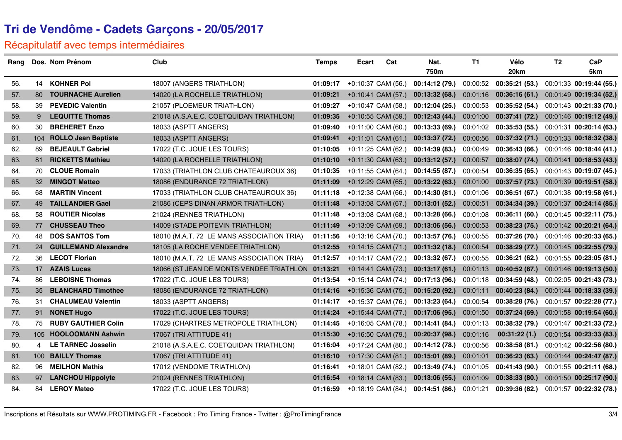#### Récapitulatif avec temps intermédiaires

| Rang |     | Dos. Nom Prénom             | Club                                              | <b>Temps</b> | <b>Ecart</b> | Cat                  | Nat.<br>750m   | <b>T1</b> | Vélo<br>20km   | T <sub>2</sub> | CaP<br>5km              |
|------|-----|-----------------------------|---------------------------------------------------|--------------|--------------|----------------------|----------------|-----------|----------------|----------------|-------------------------|
| 56.  | 14  | <b>KOHNER Pol</b>           | 18007 (ANGERS TRIATHLON)                          | 01:09:17     |              | +0:10:37 CAM (56.)   | 00:14:12 (79.) | 00:00:52  | 00:35:21 (53.) |                | 00:01:33 00:19:44 (55.) |
| 57.  | 80  | <b>TOURNACHE Aurelien</b>   | 14020 (LA ROCHELLE TRIATHLON)                     | 01:09:21     |              | +0:10:41 CAM (57.)   | 00:13:32(68.)  | 00:01:16  | 00:36:16(61)   |                | 00:01:49 00:19:34 (52.) |
| 58.  | 39  | <b>PEVEDIC Valentin</b>     | 21057 (PLOEMEUR TRIATHLON)                        | 01:09:27     |              | +0:10:47 CAM (58.)   | 00:12:04(25.)  | 00:00:53  | 00:35:52(54)   |                | 00:01:43 00:21:33 (70.) |
| 59.  | 9   | <b>LEQUITTE Thomas</b>      | 21018 (A.S.A.E.C. COETQUIDAN TRIATHLON)           | 01:09:35     |              | $+0:10:55$ CAM (59.) | 00:12:43(44)   | 00:01:00  | 00:37:41 (72.) |                | 00:01:46 00:19:12 (49.) |
| 60.  | 30  | <b>BREHERET Enzo</b>        | 18033 (ASPTT ANGERS)                              | 01:09:40     |              | $+0:11:00$ CAM (60.) | 00:13:33(69)   | 00:01:02  | 00:35:53(55)   |                | 00:01:31 00:20:14 (63.) |
| 61.  | 104 | <b>ROLLO Jean Baptiste</b>  | 18033 (ASPTT ANGERS)                              | 01:09:41     |              | +0:11:01 CAM (61.)   | 00:13:37 (72.) | 00:00:56  | 00:37:32(71)   |                | 00:01:33 00:18:32 (38.) |
| 62.  | 89  | <b>BEJEAULT Gabriel</b>     | 17022 (T.C. JOUE LES TOURS)                       | 01:10:05     |              | +0:11:25 CAM (62.)   | 00:14:39 (83.) | 00:00:49  | 00:36:43(66)   |                | 00:01:46 00:18:44 (41.) |
| 63.  | 81  | <b>RICKETTS Mathieu</b>     | 14020 (LA ROCHELLE TRIATHLON)                     | 01:10:10     |              | $+0:11:30$ CAM (63.) | 00:13:12(57.)  | 00:00:57  | 00:38:07 (74.) |                | 00:01:41 00:18:53 (43.) |
| 64.  | 70  | <b>CLOUE Romain</b>         | 17033 (TRIATHLON CLUB CHATEAUROUX 36)             | 01:10:35     |              | +0:11:55 CAM (64.)   | 00:14:55 (87.) | 00:00:54  | 00:36:35(65)   |                | 00:01:43 00:19:07 (45.) |
| 65.  | 32  | <b>MINGOT Matteo</b>        | 18086 (ENDURANCE 72 TRIATHLON)                    | 01:11:09     |              | +0:12:29 CAM (65.)   | 00:13:22(63)   | 00:01:00  | 00:37:57(73)   |                | 00:01:39 00:19:51 (58.) |
| 66.  | 68  | <b>MARTIN Vincent</b>       | 17033 (TRIATHLON CLUB CHATEAUROUX 36)             | 01:11:18     |              | +0:12:38 CAM (66.)   | 00:14:30 (81.) | 00:01:06  | 00:36:51(67)   |                | 00:01:38 00:19:58 (61.) |
| 67.  | 49  | <b>TAILLANDIER Gael</b>     | 21086 (CEPS DINAN ARMOR TRIATHLON)                | 01:11:48     |              | +0:13:08 CAM (67.)   | 00:13:01(52.)  | 00:00:51  | 00:34:34 (39.) |                | 00:01:37 00:24:14 (85.) |
| 68.  | 58  | <b>ROUTIER Nicolas</b>      | 21024 (RENNES TRIATHLON)                          | 01:11:48     |              | +0:13:08 CAM (68.)   | 00:13:28(66.)  | 00:01:08  | 00:36:11 (60.) |                | 00:01:45 00:22:11 (75.) |
| 69.  | 77  | <b>CHUSSEAU Theo</b>        | 14009 (STADE POITEVIN TRIATHLON)                  | 01:11:49     |              | +0:13:09 CAM (69.)   | 00:13:06 (56.) | 00:00:53  | 00:38:23(75)   |                | 00:01:42 00:20:21 (64.) |
| 70.  | 48  | <b>DOS SANTOS Tom</b>       | 18010 (M.A.T. 72 LE MANS ASSOCIATION TRIA)        | 01:11:56     |              | +0:13:16 CAM (70.)   | 00:13:57(76.)  | 00:00:55  | 00:37:26 (70.) |                | 00:01:46 00:20:33 (65.) |
| 71.  | 24  | <b>GUILLEMAND Alexandre</b> | 18105 (LA ROCHE VENDEE TRIATHLON)                 | 01:12:55     |              | $+0:14:15$ CAM (71.) | 00:11:32(18.)  | 00:00:54  | 00:38:29(77.)  |                | 00:01:45 00:22:55 (79.) |
| 72.  | 36  | <b>LECOT Florian</b>        | 18010 (M.A.T. 72 LE MANS ASSOCIATION TRIA)        | 01:12:57     |              | +0:14:17 CAM (72.)   | 00:13:32(67)   | 00:00:55  | 00:36:21(62)   |                | 00:01:55 00:23:05 (81.) |
| 73.  | 17  | <b>AZAIS Lucas</b>          | 18066 (ST JEAN DE MONTS VENDEE TRIATHLON 01:13:21 |              |              | +0:14:41 CAM (73.)   | 00:13:17(61.)  | 00:01:13  | 00:40:52 (87.) |                | 00:01:46 00:19:13 (50.) |
| 74.  | 86  | <b>LEBOISNE Thomas</b>      | 17022 (T.C. JOUE LES TOURS)                       | 01:13:54     |              | +0:15:14 CAM (74.)   | 00:17:13 (96.) | 00:01:18  | 00:34:59 (48.) |                | 00:02:05 00:21:43 (73.) |
| 75.  | 35  | <b>BLANCHARD Timothee</b>   | 18086 (ENDURANCE 72 TRIATHLON)                    | 01:14:16     |              | +0:15:36 CAM (75.)   | 00:15:20 (92.) | 00:01:11  | 00:40:23 (84.) |                | 00:01:44 00:18:33 (39.) |
| 76.  | 31  | <b>CHALUMEAU Valentin</b>   | 18033 (ASPTT ANGERS)                              | 01:14:17     |              | +0:15:37 CAM (76.)   | 00:13:23 (64.) | 00:00:54  | 00:38:28 (76.) |                | 00:01:57 00:22:28 (77.) |
| 77.  | 91  | <b>NONET Hugo</b>           | 17022 (T.C. JOUE LES TOURS)                       | 01:14:24     |              | $+0:15:44$ CAM (77.) | 00:17:06 (95.) | 00:01:50  | 00:37:24 (69.) |                | 00:01:58 00:19:54 (60.) |
| 78.  | 75  | <b>RUBY GAUTHIER Colin</b>  | 17029 (CHARTRES METROPOLE TRIATHLON)              | 01:14:45     |              | +0:16:05 CAM (78.)   | 00:14:41 (84.) | 00:01:13  | 00:38:32 (79.) |                | 00:01:47 00:21:33 (72.) |
| 79.  | 105 | <b>HOOLOOMANN Ashwin</b>    | 17067 (TRI ATTITUDE 41)                           | 01:15:30     |              | +0:16:50 CAM (79.)   | 00:20:37 (98.) | 00:01:16  | 00:31:22(1.)   |                | 00:01:54 00:23:33 (83.) |
| 80.  | 4   | <b>LE TARNEC Josselin</b>   | 21018 (A.S.A.E.C. COETQUIDAN TRIATHLON)           | 01:16:04     |              | +0:17:24 CAM (80.)   | 00:14:12(78)   | 00:00:56  | 00:38:58 (81.) |                | 00:01:42 00:22:56 (80.) |
| 81.  | 100 | <b>BAILLY Thomas</b>        | 17067 (TRI ATTITUDE 41)                           | 01:16:10     |              | +0:17:30 CAM (81.)   | 00:15:01 (89.) | 00:01:01  | 00:36:23(63)   |                | 00:01:44 00:24:47 (87.) |
| 82.  | 96  | <b>MEILHON Mathis</b>       | 17012 (VENDOME TRIATHLON)                         | 01:16:41     |              | +0:18:01 CAM (82.)   | 00:13:49 (74.) | 00:01:05  | 00:41:43 (90.) |                | 00:01:55 00:21:11 (68.) |
| 83.  | 97  | <b>LANCHOU Hippolyte</b>    | 21024 (RENNES TRIATHLON)                          | 01:16:54     |              | +0:18:14 CAM (83.)   | 00:13:06 (55.) | 00:01:09  | 00:38:33 (80.) |                | 00:01:50 00:25:17 (90.) |
| 84.  | 84  | <b>LEROY Mateo</b>          | 17022 (T.C. JOUE LES TOURS)                       | 01:16:59     |              | $+0:18:19$ CAM (84.) | 00:14:51(86.)  | 00:01:21  | 00:39:36 (82.) |                | 00:01:57 00:22:32 (78.) |